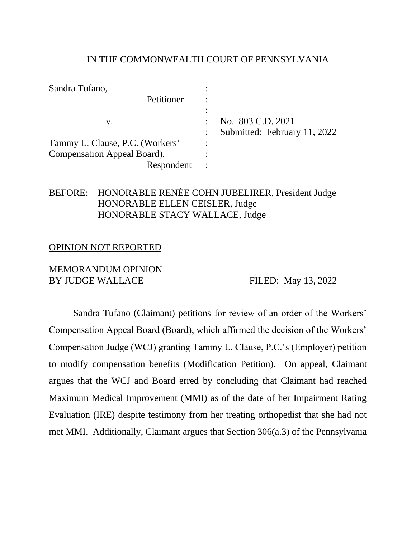#### IN THE COMMONWEALTH COURT OF PENNSYLVANIA

| Sandra Tufano,                  |                              |
|---------------------------------|------------------------------|
| Petitioner                      |                              |
|                                 |                              |
| v.                              | No. 803 C.D. 2021            |
|                                 | Submitted: February 11, 2022 |
| Tammy L. Clause, P.C. (Workers' |                              |
| Compensation Appeal Board),     |                              |
| Respondent                      |                              |

## BEFORE: HONORABLE RENÉE COHN JUBELIRER, President Judge HONORABLE ELLEN CEISLER, Judge HONORABLE STACY WALLACE, Judge

#### OPINION NOT REPORTED

### MEMORANDUM OPINION BY JUDGE WALLACE FILED: May 13, 2022

Sandra Tufano (Claimant) petitions for review of an order of the Workers' Compensation Appeal Board (Board), which affirmed the decision of the Workers' Compensation Judge (WCJ) granting Tammy L. Clause, P.C.'s (Employer) petition to modify compensation benefits (Modification Petition). On appeal, Claimant argues that the WCJ and Board erred by concluding that Claimant had reached Maximum Medical Improvement (MMI) as of the date of her Impairment Rating Evaluation (IRE) despite testimony from her treating orthopedist that she had not met MMI. Additionally, Claimant argues that Section 306(a.3) of the Pennsylvania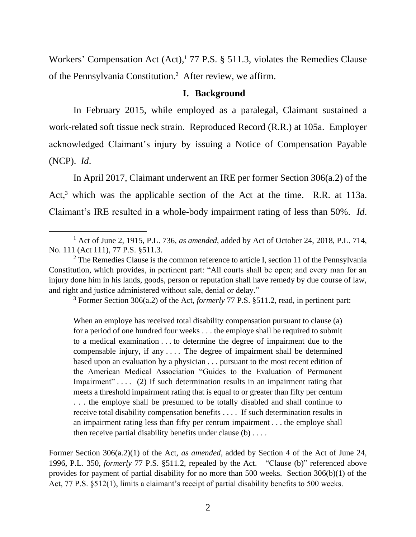Workers' Compensation Act (Act),<sup>1</sup> 77 P.S. § 511.3, violates the Remedies Clause of the Pennsylvania Constitution.<sup>2</sup> After review, we affirm.

#### **I. Background**

In February 2015, while employed as a paralegal, Claimant sustained a work-related soft tissue neck strain. Reproduced Record (R.R.) at 105a. Employer acknowledged Claimant's injury by issuing a Notice of Compensation Payable (NCP). *Id*.

In April 2017, Claimant underwent an IRE per former Section 306(a.2) of the Act,<sup>3</sup> which was the applicable section of the Act at the time. R.R. at 113a. Claimant's IRE resulted in a whole-body impairment rating of less than 50%. *Id*.

<sup>3</sup> Former Section 306(a.2) of the Act, *formerly* 77 P.S. §511.2, read, in pertinent part:

When an employe has received total disability compensation pursuant to clause (a) for a period of one hundred four weeks . . . the employe shall be required to submit to a medical examination . . . to determine the degree of impairment due to the compensable injury, if any . . . . The degree of impairment shall be determined based upon an evaluation by a physician . . . pursuant to the most recent edition of the American Medical Association "Guides to the Evaluation of Permanent Impairment".... (2) If such determination results in an impairment rating that meets a threshold impairment rating that is equal to or greater than fifty per centum . . . the employe shall be presumed to be totally disabled and shall continue to receive total disability compensation benefits . . . . If such determination results in an impairment rating less than fifty per centum impairment . . . the employe shall then receive partial disability benefits under clause (b) . . . .

Former Section 306(a.2)(1) of the Act, *as amended*, added by Section 4 of the Act of June 24, 1996, P.L. 350, *formerly* 77 P.S. §511.2, repealed by the Act. "Clause (b)" referenced above provides for payment of partial disability for no more than 500 weeks. Section 306(b)(1) of the Act, 77 P.S. §512(1), limits a claimant's receipt of partial disability benefits to 500 weeks.

<sup>1</sup> Act of June 2, 1915, P.L. 736, *as amended*, added by Act of October 24, 2018, P.L. 714, No. 111 (Act 111), 77 P.S. §511.3.

 $2$  The Remedies Clause is the common reference to article I, section 11 of the Pennsylvania Constitution, which provides, in pertinent part: "All courts shall be open; and every man for an injury done him in his lands, goods, person or reputation shall have remedy by due course of law, and right and justice administered without sale, denial or delay."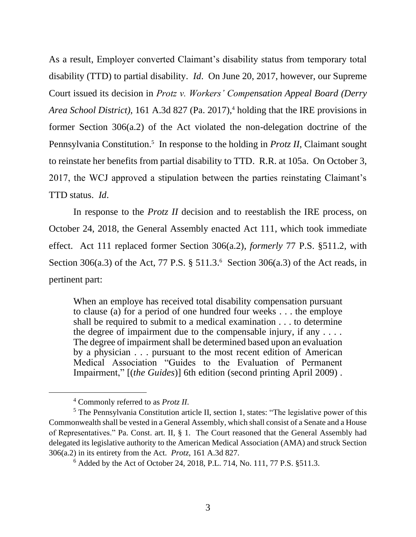As a result, Employer converted Claimant's disability status from temporary total disability (TTD) to partial disability. *Id*. On June 20, 2017, however, our Supreme Court issued its decision in *Protz v. Workers' Compensation Appeal Board (Derry Area School District*), 161 A.3d 827 (Pa. 2017),<sup>4</sup> holding that the IRE provisions in former Section 306(a.2) of the Act violated the non-delegation doctrine of the Pennsylvania Constitution.<sup>5</sup> In response to the holding in *Protz II*, Claimant sought to reinstate her benefits from partial disability to TTD. R.R. at 105a. On October 3, 2017, the WCJ approved a stipulation between the parties reinstating Claimant's TTD status. *Id*.

In response to the *Protz II* decision and to reestablish the IRE process, on October 24, 2018, the General Assembly enacted Act 111, which took immediate effect. Act 111 replaced former Section 306(a.2), *formerly* 77 P.S. §511.2, with Section 306(a.3) of the Act, 77 P.S. § 511.3.<sup>6</sup> Section 306(a.3) of the Act reads, in pertinent part:

When an employe has received total disability compensation pursuant to clause (a) for a period of one hundred four weeks . . . the employe shall be required to submit to a medical examination . . . to determine the degree of impairment due to the compensable injury, if any  $\dots$ The degree of impairment shall be determined based upon an evaluation by a physician . . . pursuant to the most recent edition of American Medical Association "Guides to the Evaluation of Permanent Impairment," [(*the Guides*)] 6th edition (second printing April 2009) .

<sup>4</sup> Commonly referred to as *Protz II*.

<sup>&</sup>lt;sup>5</sup> The Pennsylvania Constitution article II, section 1, states: "The legislative power of this Commonwealth shall be vested in a General Assembly, which shall consist of a Senate and a House of Representatives." Pa. Const. art. II, § 1. The Court reasoned that the General Assembly had delegated its legislative authority to the American Medical Association (AMA) and struck Section 306(a.2) in its entirety from the Act. *Protz*, 161 A.3d 827.

<sup>6</sup> Added by the Act of October 24, 2018, P.L. 714, No. 111, 77 P.S. §511.3.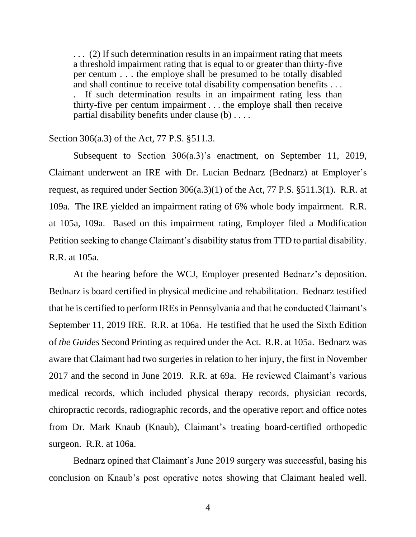. . . (2) If such determination results in an impairment rating that meets a threshold impairment rating that is equal to or greater than thirty-five per centum . . . the employe shall be presumed to be totally disabled and shall continue to receive total disability compensation benefits . . . . If such determination results in an impairment rating less than thirty-five per centum impairment . . . the employe shall then receive partial disability benefits under clause (b) . . . .

#### Section 306(a.3) of the Act, 77 P.S. §511.3.

Subsequent to Section 306(a.3)'s enactment, on September 11, 2019, Claimant underwent an IRE with Dr. Lucian Bednarz (Bednarz) at Employer's request, as required under Section 306(a.3)(1) of the Act, 77 P.S. §511.3(1). R.R. at 109a. The IRE yielded an impairment rating of 6% whole body impairment. R.R. at 105a, 109a. Based on this impairment rating, Employer filed a Modification Petition seeking to change Claimant's disability status from TTD to partial disability. R.R. at 105a.

At the hearing before the WCJ, Employer presented Bednarz's deposition. Bednarz is board certified in physical medicine and rehabilitation. Bednarz testified that he is certified to perform IREs in Pennsylvania and that he conducted Claimant's September 11, 2019 IRE. R.R. at 106a. He testified that he used the Sixth Edition of *the Guides* Second Printing as required under the Act. R.R. at 105a. Bednarz was aware that Claimant had two surgeries in relation to her injury, the first in November 2017 and the second in June 2019. R.R. at 69a. He reviewed Claimant's various medical records, which included physical therapy records, physician records, chiropractic records, radiographic records, and the operative report and office notes from Dr. Mark Knaub (Knaub), Claimant's treating board-certified orthopedic surgeon. R.R. at 106a.

Bednarz opined that Claimant's June 2019 surgery was successful, basing his conclusion on Knaub's post operative notes showing that Claimant healed well.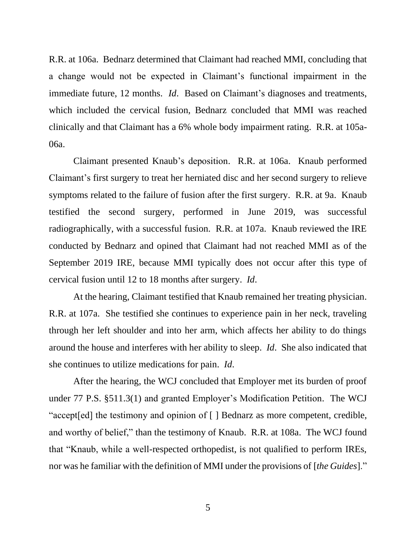R.R. at 106a. Bednarz determined that Claimant had reached MMI, concluding that a change would not be expected in Claimant's functional impairment in the immediate future, 12 months. *Id*. Based on Claimant's diagnoses and treatments, which included the cervical fusion, Bednarz concluded that MMI was reached clinically and that Claimant has a 6% whole body impairment rating. R.R. at 105a-06a.

Claimant presented Knaub's deposition. R.R. at 106a. Knaub performed Claimant's first surgery to treat her herniated disc and her second surgery to relieve symptoms related to the failure of fusion after the first surgery. R.R. at 9a. Knaub testified the second surgery, performed in June 2019, was successful radiographically, with a successful fusion. R.R. at 107a. Knaub reviewed the IRE conducted by Bednarz and opined that Claimant had not reached MMI as of the September 2019 IRE, because MMI typically does not occur after this type of cervical fusion until 12 to 18 months after surgery. *Id*.

At the hearing, Claimant testified that Knaub remained her treating physician. R.R. at 107a. She testified she continues to experience pain in her neck, traveling through her left shoulder and into her arm, which affects her ability to do things around the house and interferes with her ability to sleep. *Id*. She also indicated that she continues to utilize medications for pain. *Id*.

After the hearing, the WCJ concluded that Employer met its burden of proof under 77 P.S. §511.3(1) and granted Employer's Modification Petition. The WCJ "accept[ed] the testimony and opinion of [ ] Bednarz as more competent, credible, and worthy of belief," than the testimony of Knaub. R.R. at 108a. The WCJ found that "Knaub, while a well-respected orthopedist, is not qualified to perform IREs, nor was he familiar with the definition of MMI under the provisions of [*the Guides*]."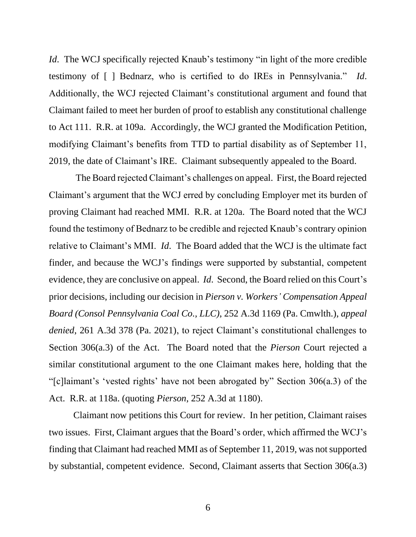*Id.* The WCJ specifically rejected Knaub's testimony "in light of the more credible testimony of [ ] Bednarz, who is certified to do IREs in Pennsylvania." *Id*. Additionally, the WCJ rejected Claimant's constitutional argument and found that Claimant failed to meet her burden of proof to establish any constitutional challenge to Act 111. R.R. at 109a. Accordingly, the WCJ granted the Modification Petition, modifying Claimant's benefits from TTD to partial disability as of September 11, 2019, the date of Claimant's IRE. Claimant subsequently appealed to the Board.

The Board rejected Claimant's challenges on appeal. First, the Board rejected Claimant's argument that the WCJ erred by concluding Employer met its burden of proving Claimant had reached MMI. R.R. at 120a. The Board noted that the WCJ found the testimony of Bednarz to be credible and rejected Knaub's contrary opinion relative to Claimant's MMI. *Id*. The Board added that the WCJ is the ultimate fact finder, and because the WCJ's findings were supported by substantial, competent evidence, they are conclusive on appeal. *Id*. Second, the Board relied on this Court's prior decisions, including our decision in *Pierson v. Workers' Compensation Appeal Board (Consol Pennsylvania Coal Co., LLC)*, 252 A.3d 1169 (Pa. Cmwlth.), *appeal denied*, 261 A.3d 378 (Pa. 2021), to reject Claimant's constitutional challenges to Section 306(a.3) of the Act. The Board noted that the *Pierson* Court rejected a similar constitutional argument to the one Claimant makes here, holding that the "[c]laimant's 'vested rights' have not been abrogated by" Section 306(a.3) of the Act. R.R. at 118a. (quoting *Pierson*, 252 A.3d at 1180).

Claimant now petitions this Court for review. In her petition, Claimant raises two issues. First, Claimant argues that the Board's order, which affirmed the WCJ's finding that Claimant had reached MMI as of September 11, 2019, was not supported by substantial, competent evidence. Second, Claimant asserts that Section 306(a.3)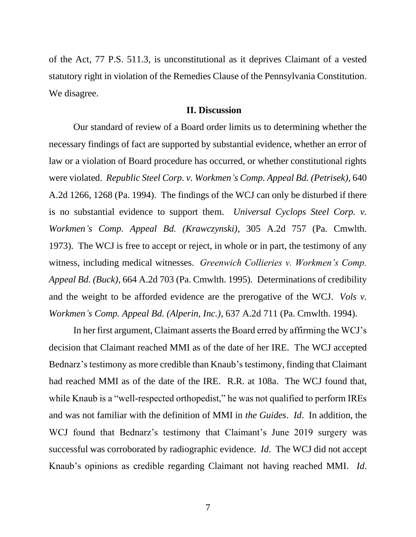of the Act, 77 P.S. 511.3, is unconstitutional as it deprives Claimant of a vested statutory right in violation of the Remedies Clause of the Pennsylvania Constitution. We disagree.

#### **II. Discussion**

Our standard of review of a Board order limits us to determining whether the necessary findings of fact are supported by substantial evidence, whether an error of law or a violation of Board procedure has occurred, or whether constitutional rights were violated. *Republic Steel Corp. v. Workmen's Comp. Appeal Bd. (Petrisek)*, 640 A.2d 1266, 1268 (Pa. 1994). The findings of the WCJ can only be disturbed if there is no substantial evidence to support them. *Universal Cyclops Steel Corp. v. Workmen's Comp. Appeal Bd. (Krawczynski)*, 305 A.2d 757 (Pa. Cmwlth. 1973). The WCJ is free to accept or reject, in whole or in part, the testimony of any witness, including medical witnesses. *Greenwich Collieries v. Workmen's Comp. Appeal Bd. (Buck)*, 664 A.2d 703 (Pa. Cmwlth. 1995). Determinations of credibility and the weight to be afforded evidence are the prerogative of the WCJ. *Vols v. Workmen's Comp. Appeal Bd. (Alperin, Inc.)*, 637 A.2d 711 (Pa. Cmwlth. 1994).

In her first argument, Claimant asserts the Board erred by affirming the WCJ's decision that Claimant reached MMI as of the date of her IRE. The WCJ accepted Bednarz's testimony as more credible than Knaub's testimony, finding that Claimant had reached MMI as of the date of the IRE. R.R. at 108a. The WCJ found that, while Knaub is a "well-respected orthopedist," he was not qualified to perform IREs and was not familiar with the definition of MMI in *the Guides*. *Id*. In addition, the WCJ found that Bednarz's testimony that Claimant's June 2019 surgery was successful was corroborated by radiographic evidence. *Id*. The WCJ did not accept Knaub's opinions as credible regarding Claimant not having reached MMI. *Id*.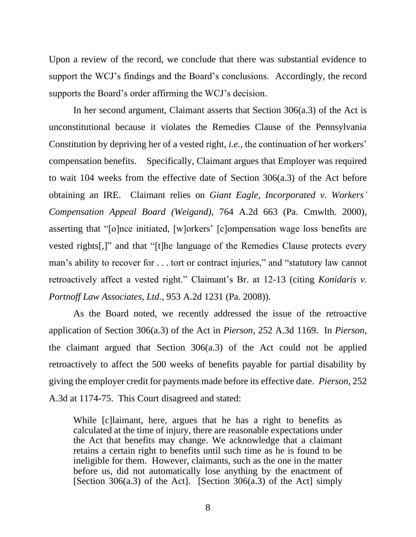Upon a review of the record, we conclude that there was substantial evidence to support the WCJ's findings and the Board's conclusions. Accordingly, the record supports the Board's order affirming the WCJ's decision.

In her second argument, Claimant asserts that Section 306(a.3) of the Act is unconstitutional because it violates the Remedies Clause of the Pennsylvania Constitution by depriving her of a vested right, *i.e.,* the continuation of her workers' compensation benefits. Specifically, Claimant argues that Employer was required to wait 104 weeks from the effective date of Section 306(a.3) of the Act before obtaining an IRE. Claimant relies on *Giant Eagle, Incorporated v. Workers' Compensation Appeal Board (Weigand)*, 764 A.2d 663 (Pa. Cmwlth. 2000), asserting that "[o]nce initiated, [w]orkers' [c]ompensation wage loss benefits are vested rights[,]" and that "[t]he language of the Remedies Clause protects every man's ability to recover for . . . tort or contract injuries," and "statutory law cannot retroactively affect a vested right." Claimant's Br. at 12-13 (citing *Konidaris v. Portnoff Law Associates, Ltd.*, 953 A.2d 1231 (Pa. 2008)).

As the Board noted, we recently addressed the issue of the retroactive application of Section 306(a.3) of the Act in *Pierson*, 252 A.3d 1169. In *Pierson*, the claimant argued that Section 306(a.3) of the Act could not be applied retroactively to affect the 500 weeks of benefits payable for partial disability by giving the employer credit for payments made before its effective date. *Pierson*, 252 A.3d at 1174-75. This Court disagreed and stated:

While [c]laimant, here, argues that he has a right to benefits as calculated at the time of injury, there are reasonable expectations under the Act that benefits may change. We acknowledge that a claimant retains a certain right to benefits until such time as he is found to be ineligible for them. However, claimants, such as the one in the matter before us, did not automatically lose anything by the enactment of [Section 306(a.3) of the Act]. [Section  $306(a.3)$  of the Act] simply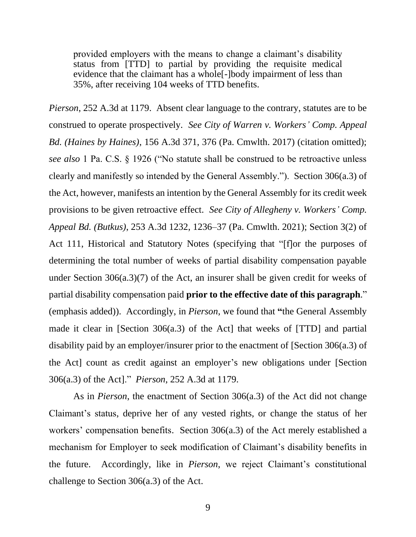provided employers with the means to change a claimant's disability status from [TTD] to partial by providing the requisite medical evidence that the claimant has a whole[-]body impairment of less than 35%, after receiving 104 weeks of TTD benefits.

*Pierson*, 252 A.3d at 1179. Absent clear language to the contrary, statutes are to be construed to operate prospectively. *See City of Warren v. Workers' Comp. Appeal Bd. (Haines by Haines)*, 156 A.3d 371, 376 (Pa. Cmwlth. 2017) (citation omitted); *see also* 1 Pa. C.S. § 1926 ("No statute shall be construed to be retroactive unless clearly and manifestly so intended by the General Assembly."). Section 306(a.3) of the Act, however, manifests an intention by the General Assembly for its credit week provisions to be given retroactive effect. *See City of Allegheny v. Workers' Comp. Appeal Bd. (Butkus)*, 253 A.3d 1232, 1236–37 (Pa. Cmwlth. 2021); Section 3(2) of Act 111, Historical and Statutory Notes (specifying that "[f]or the purposes of determining the total number of weeks of partial disability compensation payable under Section 306(a.3)(7) of the Act, an insurer shall be given credit for weeks of partial disability compensation paid **prior to the effective date of this paragraph**." (emphasis added)). Accordingly, in *Pierson*, we found that **"**the General Assembly made it clear in [Section 306(a.3) of the Act] that weeks of [TTD] and partial disability paid by an employer/insurer prior to the enactment of [Section 306(a.3) of the Act] count as credit against an employer's new obligations under [Section 306(a.3) of the Act]." *Pierson*, 252 A.3d at 1179.

As in *Pierson*, the enactment of Section 306(a.3) of the Act did not change Claimant's status, deprive her of any vested rights, or change the status of her workers' compensation benefits. Section 306(a.3) of the Act merely established a mechanism for Employer to seek modification of Claimant's disability benefits in the future. Accordingly, like in *Pierson*, we reject Claimant's constitutional challenge to Section 306(a.3) of the Act.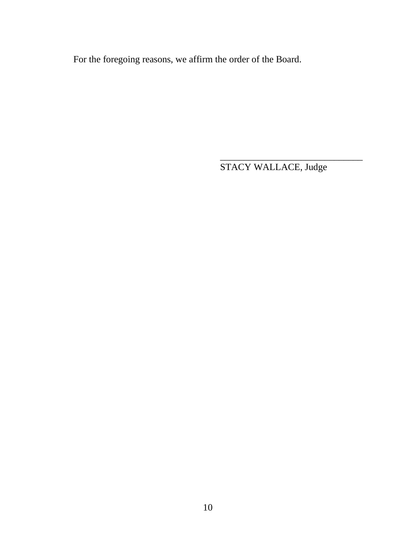For the foregoing reasons, we affirm the order of the Board.

STACY WALLACE, Judge

\_\_\_\_\_\_\_\_\_\_\_\_\_\_\_\_\_\_\_\_\_\_\_\_\_\_\_\_\_\_